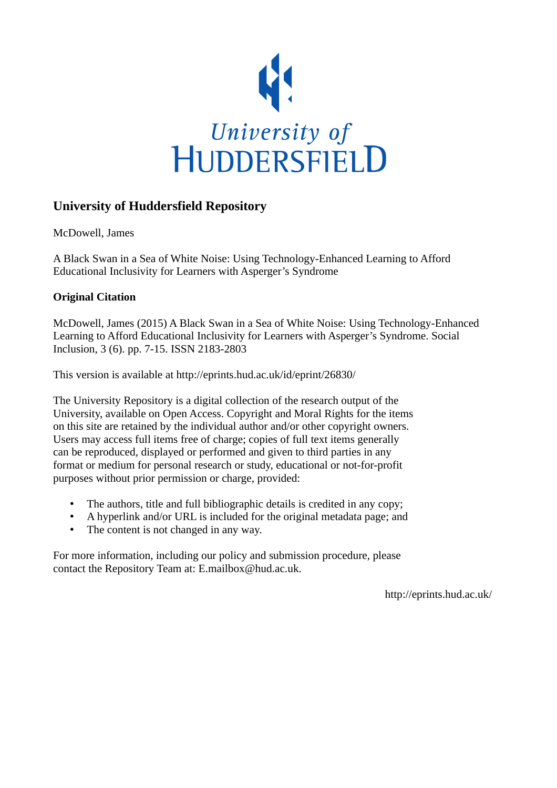

## **University of Huddersfield Repository**

McDowell, James

A Black Swan in a Sea of White Noise: Using Technology-Enhanced Learning to Afford Educational Inclusivity for Learners with Asperger's Syndrome

### **Original Citation**

McDowell, James (2015) A Black Swan in a Sea of White Noise: Using Technology-Enhanced Learning to Afford Educational Inclusivity for Learners with Asperger's Syndrome. Social Inclusion, 3 (6). pp. 7-15. ISSN 2183-2803

This version is available at http://eprints.hud.ac.uk/id/eprint/26830/

The University Repository is a digital collection of the research output of the University, available on Open Access. Copyright and Moral Rights for the items on this site are retained by the individual author and/or other copyright owners. Users may access full items free of charge; copies of full text items generally can be reproduced, displayed or performed and given to third parties in any format or medium for personal research or study, educational or not-for-profit purposes without prior permission or charge, provided:

- The authors, title and full bibliographic details is credited in any copy;
- A hyperlink and/or URL is included for the original metadata page; and
- The content is not changed in any way.

For more information, including our policy and submission procedure, please contact the Repository Team at: E.mailbox@hud.ac.uk.

http://eprints.hud.ac.uk/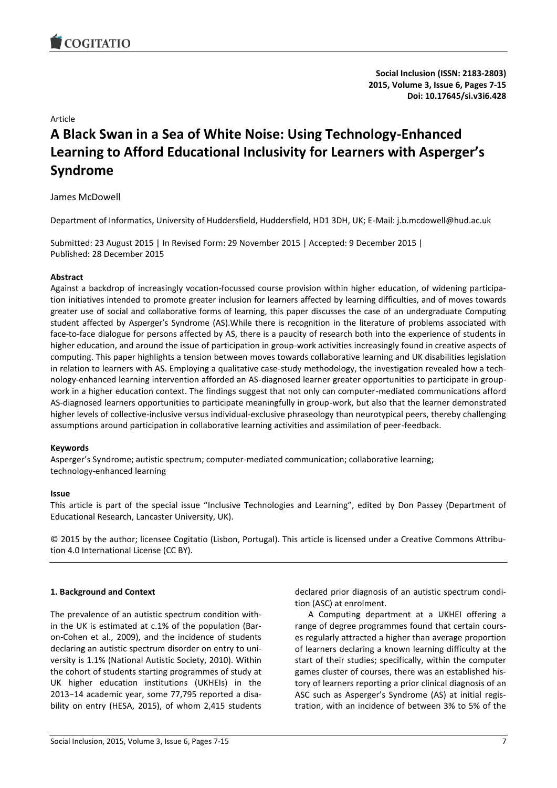

**Social Inclusion (ISSN: 2183-2803) 2015, Volume 3, Issue 6, Pages 7-15 Doi: 10.17645/si.v3i6.428**

Article

# **A Black Swan in a Sea of White Noise: Using Technology-Enhanced Learning to Afford Educational Inclusivity for Learners with Asperger's Syndrome**

James McDowell

Department of Informatics, University of Huddersfield, Huddersfield, HD1 3DH, UK; E-Mail: j.b.mcdowell@hud.ac.uk

Submitted: 23 August 2015 | In Revised Form: 29 November 2015 | Accepted: 9 December 2015 | Published: 28 December 2015

#### **Abstract**

Against a backdrop of increasingly vocation-focussed course provision within higher education, of widening participation initiatives intended to promote greater inclusion for learners affected by learning difficulties, and of moves towards greater use of social and collaborative forms of learning, this paper discusses the case of an undergraduate Computing student affected by Asperger's Syndrome (AS).While there is recognition in the literature of problems associated with face-to-face dialogue for persons affected by AS, there is a paucity of research both into the experience of students in higher education, and around the issue of participation in group-work activities increasingly found in creative aspects of computing. This paper highlights a tension between moves towards collaborative learning and UK disabilities legislation in relation to learners with AS. Employing a qualitative case-study methodology, the investigation revealed how a technology-enhanced learning intervention afforded an AS-diagnosed learner greater opportunities to participate in groupwork in a higher education context. The findings suggest that not only can computer-mediated communications afford AS-diagnosed learners opportunities to participate meaningfully in group-work, but also that the learner demonstrated higher levels of collective-inclusive versus individual-exclusive phraseology than neurotypical peers, thereby challenging assumptions around participation in collaborative learning activities and assimilation of peer-feedback.

#### **Keywords**

Asperger's Syndrome; autistic spectrum; computer-mediated communication; collaborative learning; technology-enhanced learning

#### **Issue**

This article is part of the special issue "Inclusive Technologies and Learning", edited by Don Passey (Department of Educational Research, Lancaster University, UK).

© 2015 by the author; licensee Cogitatio (Lisbon, Portugal). This article is licensed under a Creative Commons Attribution 4.0 International License (CC BY).

#### **1. Background and Context**

The prevalence of an autistic spectrum condition within the UK is estimated at c.1% of the population (Baron-Cohen et al., 2009), and the incidence of students declaring an autistic spectrum disorder on entry to university is 1.1% (National Autistic Society, 2010). Within the cohort of students starting programmes of study at UK higher education institutions (UKHEIs) in the 2013−14 academic year, some 77,795 reported a disability on entry (HESA, 2015), of whom 2,415 students

declared prior diagnosis of an autistic spectrum condition (ASC) at enrolment.

A Computing department at a UKHEI offering a range of degree programmes found that certain courses regularly attracted a higher than average proportion of learners declaring a known learning difficulty at the start of their studies; specifically, within the computer games cluster of courses, there was an established history of learners reporting a prior clinical diagnosis of an ASC such as Asperger's Syndrome (AS) at initial registration, with an incidence of between 3% to 5% of the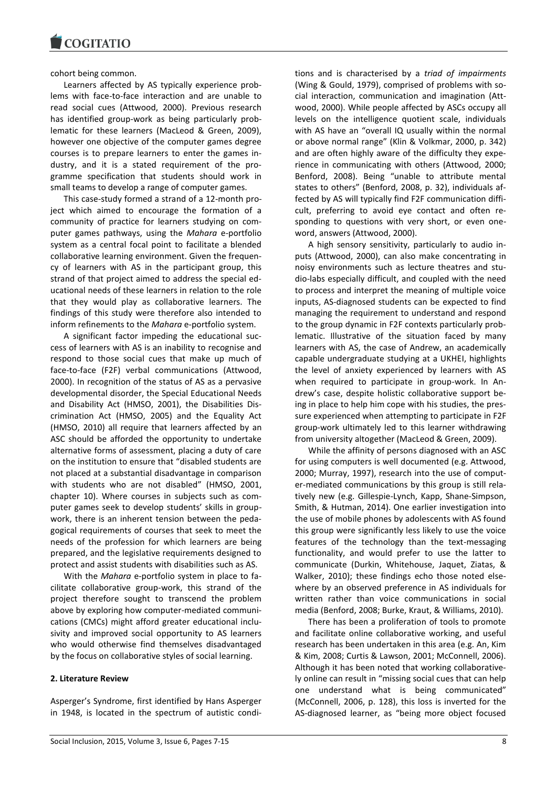cohort being common.

Learners affected by AS typically experience problems with face-to-face interaction and are unable to read social cues (Attwood, 2000). Previous research has identified group-work as being particularly problematic for these learners (MacLeod & Green, 2009), however one objective of the computer games degree courses is to prepare learners to enter the games industry, and it is a stated requirement of the programme specification that students should work in small teams to develop a range of computer games.

This case-study formed a strand of a 12-month project which aimed to encourage the formation of a community of practice for learners studying on computer games pathways, using the *Mahara* e-portfolio system as a central focal point to facilitate a blended collaborative learning environment. Given the frequency of learners with AS in the participant group, this strand of that project aimed to address the special educational needs of these learners in relation to the role that they would play as collaborative learners. The findings of this study were therefore also intended to inform refinements to the *Mahara* e-portfolio system.

A significant factor impeding the educational success of learners with AS is an inability to recognise and respond to those social cues that make up much of face-to-face (F2F) verbal communications (Attwood, 2000). In recognition of the status of AS as a pervasive developmental disorder, the Special Educational Needs and Disability Act (HMSO, 2001), the Disabilities Discrimination Act (HMSO, 2005) and the Equality Act (HMSO, 2010) all require that learners affected by an ASC should be afforded the opportunity to undertake alternative forms of assessment, placing a duty of care on the institution to ensure that "disabled students are not placed at a substantial disadvantage in comparison with students who are not disabled" (HMSO, 2001, chapter 10). Where courses in subjects such as computer games seek to develop students' skills in groupwork, there is an inherent tension between the pedagogical requirements of courses that seek to meet the needs of the profession for which learners are being prepared, and the legislative requirements designed to protect and assist students with disabilities such as AS.

With the *Mahara* e-portfolio system in place to facilitate collaborative group-work, this strand of the project therefore sought to transcend the problem above by exploring how computer-mediated communications (CMCs) might afford greater educational inclusivity and improved social opportunity to AS learners who would otherwise find themselves disadvantaged by the focus on collaborative styles of social learning.

#### **2. Literature Review**

Asperger's Syndrome, first identified by Hans Asperger in 1948, is located in the spectrum of autistic conditions and is characterised by a *triad of impairments* (Wing & Gould, 1979), comprised of problems with social interaction, communication and imagination (Attwood, 2000). While people affected by ASCs occupy all levels on the intelligence quotient scale, individuals with AS have an "overall IQ usually within the normal or above normal range" (Klin & Volkmar, 2000, p. 342) and are often highly aware of the difficulty they experience in communicating with others (Attwood, 2000; Benford, 2008). Being "unable to attribute mental states to others" (Benford, 2008, p. 32), individuals affected by AS will typically find F2F communication difficult, preferring to avoid eye contact and often responding to questions with very short, or even oneword, answers (Attwood, 2000).

A high sensory sensitivity, particularly to audio inputs (Attwood, 2000), can also make concentrating in noisy environments such as lecture theatres and studio-labs especially difficult, and coupled with the need to process and interpret the meaning of multiple voice inputs, AS-diagnosed students can be expected to find managing the requirement to understand and respond to the group dynamic in F2F contexts particularly problematic. Illustrative of the situation faced by many learners with AS, the case of Andrew, an academically capable undergraduate studying at a UKHEI, highlights the level of anxiety experienced by learners with AS when required to participate in group-work. In Andrew's case, despite holistic collaborative support being in place to help him cope with his studies, the pressure experienced when attempting to participate in F2F group-work ultimately led to this learner withdrawing from university altogether (MacLeod & Green, 2009).

While the affinity of persons diagnosed with an ASC for using computers is well documented (e.g. Attwood, 2000; Murray, 1997), research into the use of computer-mediated communications by this group is still relatively new (e.g. Gillespie-Lynch, Kapp, Shane-Simpson, Smith, & Hutman, 2014). One earlier investigation into the use of mobile phones by adolescents with AS found this group were significantly less likely to use the voice features of the technology than the text-messaging functionality, and would prefer to use the latter to communicate (Durkin, Whitehouse, Jaquet, Ziatas, & Walker, 2010); these findings echo those noted elsewhere by an observed preference in AS individuals for written rather than voice communications in social media (Benford, 2008; Burke, Kraut, & Williams, 2010).

There has been a proliferation of tools to promote and facilitate online collaborative working, and useful research has been undertaken in this area (e.g. An, Kim & Kim, 2008; Curtis & Lawson, 2001; McConnell, 2006). Although it has been noted that working collaboratively online can result in "missing social cues that can help one understand what is being communicated" (McConnell, 2006, p. 128), this loss is inverted for the AS-diagnosed learner, as "being more object focused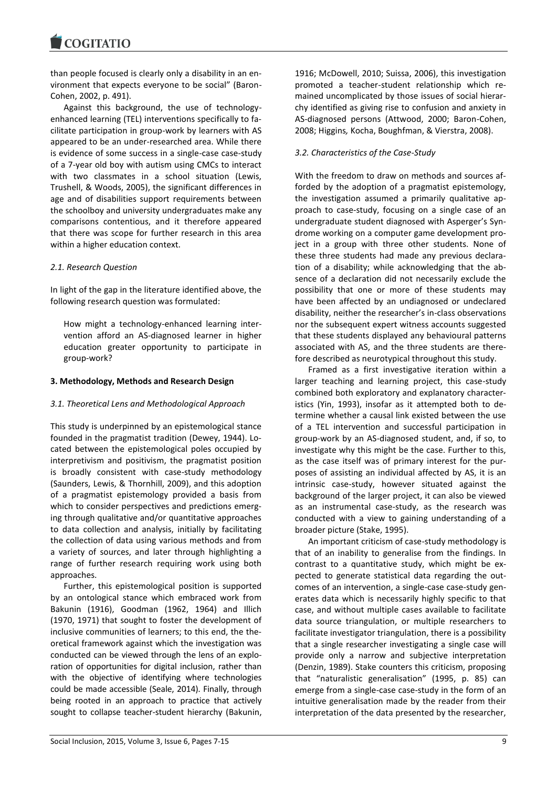**COGITATIO** 

than people focused is clearly only a disability in an environment that expects everyone to be social" (Baron-Cohen, 2002, p. 491).

Against this background, the use of technologyenhanced learning (TEL) interventions specifically to facilitate participation in group-work by learners with AS appeared to be an under-researched area. While there is evidence of some success in a single-case case-study of a 7-year old boy with autism using CMCs to interact with two classmates in a school situation (Lewis, Trushell, & Woods, 2005), the significant differences in age and of disabilities support requirements between the schoolboy and university undergraduates make any comparisons contentious, and it therefore appeared that there was scope for further research in this area within a higher education context.

#### *2.1. Research Question*

In light of the gap in the literature identified above, the following research question was formulated:

How might a technology-enhanced learning intervention afford an AS-diagnosed learner in higher education greater opportunity to participate in group-work?

#### **3. Methodology, Methods and Research Design**

#### *3.1. Theoretical Lens and Methodological Approach*

This study is underpinned by an epistemological stance founded in the pragmatist tradition (Dewey, 1944). Located between the epistemological poles occupied by interpretivism and positivism, the pragmatist position is broadly consistent with case-study methodology (Saunders, Lewis, & Thornhill, 2009), and this adoption of a pragmatist epistemology provided a basis from which to consider perspectives and predictions emerging through qualitative and/or quantitative approaches to data collection and analysis, initially by facilitating the collection of data using various methods and from a variety of sources, and later through highlighting a range of further research requiring work using both approaches.

Further, this epistemological position is supported by an ontological stance which embraced work from Bakunin (1916), Goodman (1962, 1964) and Illich (1970, 1971) that sought to foster the development of inclusive communities of learners; to this end, the theoretical framework against which the investigation was conducted can be viewed through the lens of an exploration of opportunities for digital inclusion, rather than with the objective of identifying where technologies could be made accessible (Seale, 2014). Finally, through being rooted in an approach to practice that actively sought to collapse teacher-student hierarchy (Bakunin, 1916; McDowell, 2010; Suissa, 2006), this investigation promoted a teacher-student relationship which remained uncomplicated by those issues of social hierarchy identified as giving rise to confusion and anxiety in AS-diagnosed persons (Attwood, 2000; Baron-Cohen, 2008; Higgins*,* Kocha, Boughfman, & Vierstra, 2008).

#### *3.2. Characteristics of the Case-Study*

With the freedom to draw on methods and sources afforded by the adoption of a pragmatist epistemology, the investigation assumed a primarily qualitative approach to case-study, focusing on a single case of an undergraduate student diagnosed with Asperger's Syndrome working on a computer game development project in a group with three other students. None of these three students had made any previous declaration of a disability; while acknowledging that the absence of a declaration did not necessarily exclude the possibility that one or more of these students may have been affected by an undiagnosed or undeclared disability, neither the researcher's in-class observations nor the subsequent expert witness accounts suggested that these students displayed any behavioural patterns associated with AS, and the three students are therefore described as neurotypical throughout this study.

Framed as a first investigative iteration within a larger teaching and learning project, this case-study combined both exploratory and explanatory characteristics (Yin, 1993), insofar as it attempted both to determine whether a causal link existed between the use of a TEL intervention and successful participation in group-work by an AS-diagnosed student, and, if so, to investigate why this might be the case. Further to this, as the case itself was of primary interest for the purposes of assisting an individual affected by AS, it is an intrinsic case-study, however situated against the background of the larger project, it can also be viewed as an instrumental case-study, as the research was conducted with a view to gaining understanding of a broader picture (Stake, 1995).

An important criticism of case-study methodology is that of an inability to generalise from the findings. In contrast to a quantitative study, which might be expected to generate statistical data regarding the outcomes of an intervention, a single-case case-study generates data which is necessarily highly specific to that case, and without multiple cases available to facilitate data source triangulation, or multiple researchers to facilitate investigator triangulation, there is a possibility that a single researcher investigating a single case will provide only a narrow and subjective interpretation (Denzin, 1989). Stake counters this criticism, proposing that "naturalistic generalisation" (1995, p. 85) can emerge from a single-case case-study in the form of an intuitive generalisation made by the reader from their interpretation of the data presented by the researcher,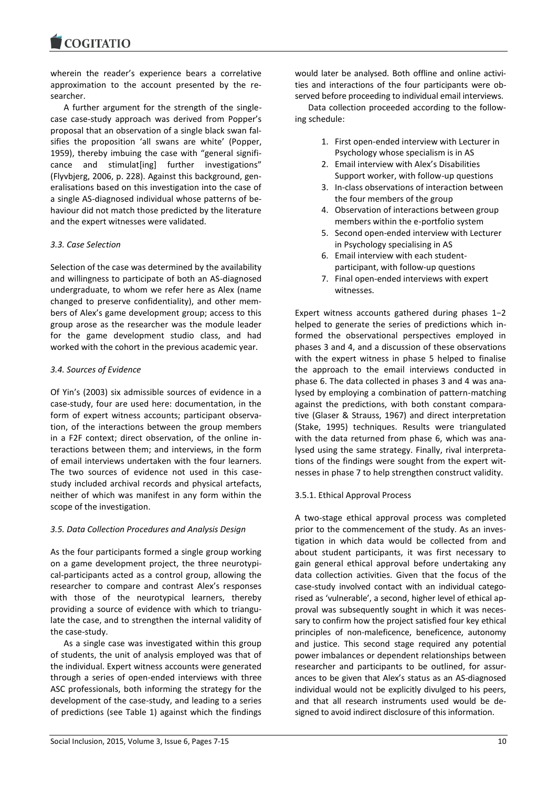**COGITATIO** 

wherein the reader's experience bears a correlative approximation to the account presented by the researcher.

A further argument for the strength of the singlecase case-study approach was derived from Popper's proposal that an observation of a single black swan falsifies the proposition 'all swans are white' (Popper, 1959), thereby imbuing the case with "general significance and stimulat[ing] further investigations" (Flyvbjerg, 2006, p. 228). Against this background, generalisations based on this investigation into the case of a single AS-diagnosed individual whose patterns of behaviour did not match those predicted by the literature and the expert witnesses were validated.

#### *3.3. Case Selection*

Selection of the case was determined by the availability and willingness to participate of both an AS-diagnosed undergraduate, to whom we refer here as Alex (name changed to preserve confidentiality), and other members of Alex's game development group; access to this group arose as the researcher was the module leader for the game development studio class, and had worked with the cohort in the previous academic year.

#### *3.4. Sources of Evidence*

Of Yin's (2003) six admissible sources of evidence in a case-study, four are used here: documentation, in the form of expert witness accounts; participant observation, of the interactions between the group members in a F2F context; direct observation, of the online interactions between them; and interviews, in the form of email interviews undertaken with the four learners. The two sources of evidence not used in this casestudy included archival records and physical artefacts, neither of which was manifest in any form within the scope of the investigation.

#### *3.5. Data Collection Procedures and Analysis Design*

As the four participants formed a single group working on a game development project, the three neurotypical-participants acted as a control group, allowing the researcher to compare and contrast Alex's responses with those of the neurotypical learners, thereby providing a source of evidence with which to triangulate the case, and to strengthen the internal validity of the case-study.

As a single case was investigated within this group of students, the unit of analysis employed was that of the individual. Expert witness accounts were generated through a series of open-ended interviews with three ASC professionals, both informing the strategy for the development of the case-study, and leading to a series of predictions (see Table 1) against which the findings

would later be analysed. Both offline and online activities and interactions of the four participants were observed before proceeding to individual email interviews.

Data collection proceeded according to the following schedule:

- 1. First open-ended interview with Lecturer in Psychology whose specialism is in AS
- 2. Email interview with Alex's Disabilities Support worker, with follow-up questions
- 3. In-class observations of interaction between the four members of the group
- 4. Observation of interactions between group members within the e-portfolio system
- 5. Second open-ended interview with Lecturer in Psychology specialising in AS
- 6. Email interview with each studentparticipant, with follow-up questions
- 7. Final open-ended interviews with expert witnesses.

Expert witness accounts gathered during phases 1−2 helped to generate the series of predictions which informed the observational perspectives employed in phases 3 and 4, and a discussion of these observations with the expert witness in phase 5 helped to finalise the approach to the email interviews conducted in phase 6. The data collected in phases 3 and 4 was analysed by employing a combination of pattern-matching against the predictions, with both constant comparative (Glaser & Strauss, 1967) and direct interpretation (Stake, 1995) techniques. Results were triangulated with the data returned from phase 6, which was analysed using the same strategy. Finally, rival interpretations of the findings were sought from the expert witnesses in phase 7 to help strengthen construct validity.

#### 3.5.1. Ethical Approval Process

A two-stage ethical approval process was completed prior to the commencement of the study. As an investigation in which data would be collected from and about student participants, it was first necessary to gain general ethical approval before undertaking any data collection activities. Given that the focus of the case-study involved contact with an individual categorised as 'vulnerable', a second, higher level of ethical approval was subsequently sought in which it was necessary to confirm how the project satisfied four key ethical principles of non-maleficence, beneficence, autonomy and justice. This second stage required any potential power imbalances or dependent relationships between researcher and participants to be outlined, for assurances to be given that Alex's status as an AS-diagnosed individual would not be explicitly divulged to his peers, and that all research instruments used would be designed to avoid indirect disclosure of this information.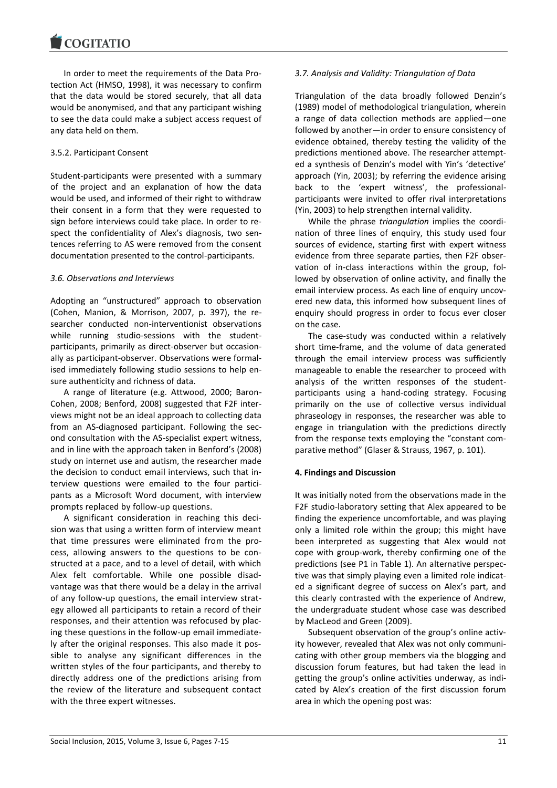In order to meet the requirements of the Data Protection Act (HMSO, 1998), it was necessary to confirm that the data would be stored securely, that all data would be anonymised, and that any participant wishing to see the data could make a subject access request of any data held on them.

#### 3.5.2. Participant Consent

Student-participants were presented with a summary of the project and an explanation of how the data would be used, and informed of their right to withdraw their consent in a form that they were requested to sign before interviews could take place. In order to respect the confidentiality of Alex's diagnosis, two sentences referring to AS were removed from the consent documentation presented to the control-participants.

#### *3.6. Observations and Interviews*

Adopting an "unstructured" approach to observation (Cohen, Manion, & Morrison, 2007, p. 397), the researcher conducted non-interventionist observations while running studio-sessions with the studentparticipants, primarily as direct-observer but occasionally as participant-observer. Observations were formalised immediately following studio sessions to help ensure authenticity and richness of data.

A range of literature (e.g. Attwood, 2000; Baron-Cohen, 2008; Benford, 2008) suggested that F2F interviews might not be an ideal approach to collecting data from an AS-diagnosed participant. Following the second consultation with the AS-specialist expert witness, and in line with the approach taken in Benford's (2008) study on internet use and autism, the researcher made the decision to conduct email interviews, such that interview questions were emailed to the four participants as a Microsoft Word document, with interview prompts replaced by follow-up questions.

A significant consideration in reaching this decision was that using a written form of interview meant that time pressures were eliminated from the process, allowing answers to the questions to be constructed at a pace, and to a level of detail, with which Alex felt comfortable. While one possible disadvantage was that there would be a delay in the arrival of any follow-up questions, the email interview strategy allowed all participants to retain a record of their responses, and their attention was refocused by placing these questions in the follow-up email immediately after the original responses. This also made it possible to analyse any significant differences in the written styles of the four participants, and thereby to directly address one of the predictions arising from the review of the literature and subsequent contact with the three expert witnesses.

#### *3.7. Analysis and Validity: Triangulation of Data*

Triangulation of the data broadly followed Denzin's (1989) model of methodological triangulation, wherein a range of data collection methods are applied—one followed by another—in order to ensure consistency of evidence obtained, thereby testing the validity of the predictions mentioned above. The researcher attempted a synthesis of Denzin's model with Yin's 'detective' approach (Yin, 2003); by referring the evidence arising back to the 'expert witness', the professionalparticipants were invited to offer rival interpretations (Yin, 2003) to help strengthen internal validity.

While the phrase *triangulation* implies the coordination of three lines of enquiry, this study used four sources of evidence, starting first with expert witness evidence from three separate parties, then F2F observation of in-class interactions within the group, followed by observation of online activity, and finally the email interview process. As each line of enquiry uncovered new data, this informed how subsequent lines of enquiry should progress in order to focus ever closer on the case.

The case-study was conducted within a relatively short time-frame, and the volume of data generated through the email interview process was sufficiently manageable to enable the researcher to proceed with analysis of the written responses of the studentparticipants using a hand-coding strategy. Focusing primarily on the use of collective versus individual phraseology in responses, the researcher was able to engage in triangulation with the predictions directly from the response texts employing the "constant comparative method" (Glaser & Strauss, 1967, p. 101).

#### **4. Findings and Discussion**

It was initially noted from the observations made in the F2F studio-laboratory setting that Alex appeared to be finding the experience uncomfortable, and was playing only a limited role within the group; this might have been interpreted as suggesting that Alex would not cope with group-work, thereby confirming one of the predictions (see P1 in Table 1). An alternative perspective was that simply playing even a limited role indicated a significant degree of success on Alex's part, and this clearly contrasted with the experience of Andrew, the undergraduate student whose case was described by MacLeod and Green (2009).

Subsequent observation of the group's online activity however, revealed that Alex was not only communicating with other group members via the blogging and discussion forum features, but had taken the lead in getting the group's online activities underway, as indicated by Alex's creation of the first discussion forum area in which the opening post was: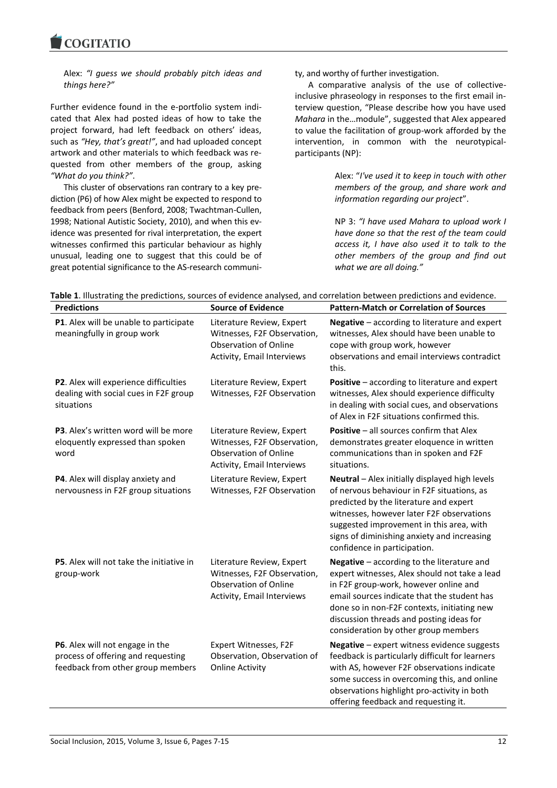Alex: *"I guess we should probably pitch ideas and things here?"*

Further evidence found in the e-portfolio system indicated that Alex had posted ideas of how to take the project forward, had left feedback on others' ideas, such as *"Hey, that's great!"*, and had uploaded concept artwork and other materials to which feedback was requested from other members of the group, asking *"What do you think?"*.

This cluster of observations ran contrary to a key prediction (P6) of how Alex might be expected to respond to feedback from peers (Benford, 2008; Twachtman-Cullen, 1998; National Autistic Society, 2010), and when this evidence was presented for rival interpretation, the expert witnesses confirmed this particular behaviour as highly unusual, leading one to suggest that this could be of great potential significance to the AS-research community, and worthy of further investigation.

A comparative analysis of the use of collectiveinclusive phraseology in responses to the first email interview question, "Please describe how you have used *Mahara* in the…module", suggested that Alex appeared to value the facilitation of group-work afforded by the intervention, in common with the neurotypicalparticipants (NP):

> Alex: "*I've used it to keep in touch with other members of the group, and share work and information regarding our project*".

> NP 3: *"I have used Mahara to upload work I have done so that the rest of the team could access it, I have also used it to talk to the other members of the group and find out what we are all doing."*

| <b>Predictions</b>                                                                                         | <b>Source of Evidence</b>                                                                                              | <b>Pattern-Match or Correlation of Sources</b>                                                                                                                                                                                                                                                                         |
|------------------------------------------------------------------------------------------------------------|------------------------------------------------------------------------------------------------------------------------|------------------------------------------------------------------------------------------------------------------------------------------------------------------------------------------------------------------------------------------------------------------------------------------------------------------------|
| P1. Alex will be unable to participate<br>meaningfully in group work                                       | Literature Review, Expert<br>Witnesses, F2F Observation,<br><b>Observation of Online</b><br>Activity, Email Interviews | Negative - according to literature and expert<br>witnesses, Alex should have been unable to<br>cope with group work, however<br>observations and email interviews contradict<br>this.                                                                                                                                  |
| P2. Alex will experience difficulties<br>dealing with social cues in F2F group<br>situations               | Literature Review, Expert<br>Witnesses, F2F Observation                                                                | Positive - according to literature and expert<br>witnesses, Alex should experience difficulty<br>in dealing with social cues, and observations<br>of Alex in F2F situations confirmed this.                                                                                                                            |
| P3. Alex's written word will be more<br>eloquently expressed than spoken<br>word                           | Literature Review, Expert<br>Witnesses, F2F Observation,<br><b>Observation of Online</b><br>Activity, Email Interviews | Positive - all sources confirm that Alex<br>demonstrates greater eloquence in written<br>communications than in spoken and F2F<br>situations.                                                                                                                                                                          |
| P4. Alex will display anxiety and<br>nervousness in F2F group situations                                   | Literature Review, Expert<br>Witnesses, F2F Observation                                                                | Neutral - Alex initially displayed high levels<br>of nervous behaviour in F2F situations, as<br>predicted by the literature and expert<br>witnesses, however later F2F observations<br>suggested improvement in this area, with<br>signs of diminishing anxiety and increasing<br>confidence in participation.         |
| P5. Alex will not take the initiative in<br>group-work                                                     | Literature Review, Expert<br>Witnesses, F2F Observation,<br><b>Observation of Online</b><br>Activity, Email Interviews | Negative - according to the literature and<br>expert witnesses, Alex should not take a lead<br>in F2F group-work, however online and<br>email sources indicate that the student has<br>done so in non-F2F contexts, initiating new<br>discussion threads and posting ideas for<br>consideration by other group members |
| P6. Alex will not engage in the<br>process of offering and requesting<br>feedback from other group members | Expert Witnesses, F2F<br>Observation, Observation of<br><b>Online Activity</b>                                         | Negative - expert witness evidence suggests<br>feedback is particularly difficult for learners<br>with AS, however F2F observations indicate<br>some success in overcoming this, and online<br>observations highlight pro-activity in both<br>offering feedback and requesting it.                                     |

**Table 1**. Illustrating the predictions, sources of evidence analysed, and correlation between predictions and evidence.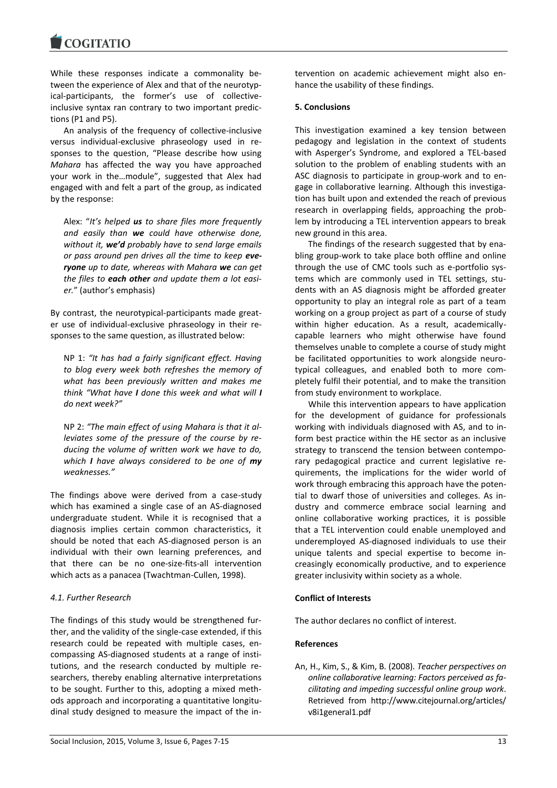While these responses indicate a commonality between the experience of Alex and that of the neurotypical-participants, the former's use of collectiveinclusive syntax ran contrary to two important predictions (P1 and P5).

An analysis of the frequency of collective-inclusive versus individual-exclusive phraseology used in responses to the question, "Please describe how using *Mahara* has affected the way you have approached your work in the…module", suggested that Alex had engaged with and felt a part of the group, as indicated by the response:

Alex: "*It's helped us to share files more frequently and easily than we could have otherwise done, without it, we'd probably have to send large emails or pass around pen drives all the time to keep everyone up to date, whereas with Mahara we can get the files to each other and update them a lot easier.*" (author's emphasis)

By contrast, the neurotypical-participants made greater use of individual-exclusive phraseology in their responses to the same question, as illustrated below:

NP 1: *"It has had a fairly significant effect. Having to blog every week both refreshes the memory of what has been previously written and makes me think "What have I done this week and what will I do next week?"*

NP 2: *"The main effect of using Mahara is that it alleviates some of the pressure of the course by reducing the volume of written work we have to do, which I have always considered to be one of my weaknesses."*

The findings above were derived from a case-study which has examined a single case of an AS-diagnosed undergraduate student. While it is recognised that a diagnosis implies certain common characteristics, it should be noted that each AS-diagnosed person is an individual with their own learning preferences, and that there can be no one-size-fits-all intervention which acts as a panacea (Twachtman-Cullen, 1998).

#### *4.1. Further Research*

The findings of this study would be strengthened further, and the validity of the single-case extended, if this research could be repeated with multiple cases, encompassing AS-diagnosed students at a range of institutions, and the research conducted by multiple researchers, thereby enabling alternative interpretations to be sought. Further to this, adopting a mixed methods approach and incorporating a quantitative longitudinal study designed to measure the impact of the in-

hance the usability of these findings. **5. Conclusions**

> This investigation examined a key tension between pedagogy and legislation in the context of students with Asperger's Syndrome, and explored a TEL-based solution to the problem of enabling students with an ASC diagnosis to participate in group-work and to engage in collaborative learning. Although this investigation has built upon and extended the reach of previous research in overlapping fields, approaching the problem by introducing a TEL intervention appears to break new ground in this area.

tervention on academic achievement might also en-

The findings of the research suggested that by enabling group-work to take place both offline and online through the use of CMC tools such as e-portfolio systems which are commonly used in TEL settings, students with an AS diagnosis might be afforded greater opportunity to play an integral role as part of a team working on a group project as part of a course of study within higher education. As a result, academicallycapable learners who might otherwise have found themselves unable to complete a course of study might be facilitated opportunities to work alongside neurotypical colleagues, and enabled both to more completely fulfil their potential, and to make the transition from study environment to workplace.

While this intervention appears to have application for the development of guidance for professionals working with individuals diagnosed with AS, and to inform best practice within the HE sector as an inclusive strategy to transcend the tension between contemporary pedagogical practice and current legislative requirements, the implications for the wider world of work through embracing this approach have the potential to dwarf those of universities and colleges. As industry and commerce embrace social learning and online collaborative working practices, it is possible that a TEL intervention could enable unemployed and underemployed AS-diagnosed individuals to use their unique talents and special expertise to become increasingly economically productive, and to experience greater inclusivity within society as a whole.

#### **Conflict of Interests**

The author declares no conflict of interest.

#### **References**

An, H., Kim, S., & Kim, B. (2008). *Teacher perspectives on online collaborative learning: Factors perceived as facilitating and impeding successful online group work*. Retrieved from http://www.citejournal.org/articles/ v8i1general1.pdf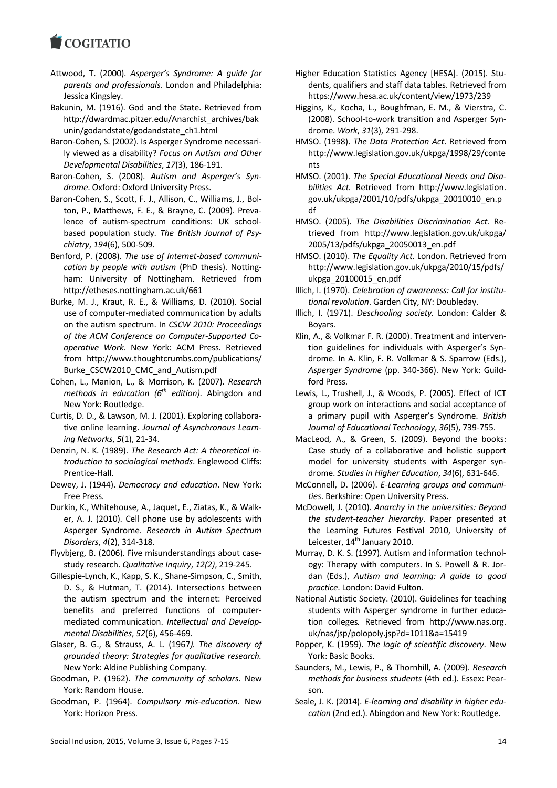- Attwood, T. (2000). *Asperger's Syndrome: A guide for parents and professionals*. London and Philadelphia: Jessica Kingsley.
- Bakunin, M. (1916). God and the State. Retrieved from http://dwardmac.pitzer.edu/Anarchist\_archives/bak unin/godandstate/godandstate\_ch1.html
- Baron-Cohen, S. (2002). Is Asperger Syndrome necessarily viewed as a disability? *Focus on Autism and Other Developmental Disabilities*, *17*(3), 186-191.
- Baron-Cohen, S. (2008). *Autism and Asperger's Syndrome*. Oxford: Oxford University Press.
- Baron-Cohen, S., Scott, F. J., Allison, C., Williams, J., Bolton, P., Matthews, F. E., & Brayne, C. (2009). Prevalence of autism-spectrum conditions: UK schoolbased population study. *The British Journal of Psychiatry*, *194*(6), 500-509.
- Benford, P. (2008). *The use of Internet-based communication by people with autism* (PhD thesis). Nottingham: University of Nottingham. Retrieved from http://etheses.nottingham.ac.uk/661
- Burke, M. J., Kraut, R. E., & Williams, D. (2010). Social use of computer-mediated communication by adults on the autism spectrum. In *CSCW 2010: Proceedings of the ACM Conference on Computer-Supported Cooperative Work*. New York: ACM Press. Retrieved from http://www.thoughtcrumbs.com/publications/ Burke\_CSCW2010\_CMC\_and\_Autism.pdf
- Cohen, L., Manion, L., & Morrison, K. (2007). *Research methods in education (6th edition)*. Abingdon and New York: Routledge.
- Curtis, D. D., & Lawson, M. J. (2001). Exploring collaborative online learning. *Journal of Asynchronous Learning Networks*, *5*(1), 21-34.
- Denzin, N. K. (1989). *The Research Act: A theoretical introduction to sociological methods*. Englewood Cliffs: Prentice-Hall.
- Dewey, J. (1944). *Democracy and education*. New York: Free Press.
- Durkin, K., Whitehouse, A., Jaquet, E., Ziatas, K., & Walker, A. J. (2010). Cell phone use by adolescents with Asperger Syndrome. *Research in Autism Spectrum Disorders*, *4*(2), 314-318.
- Flyvbjerg, B. (2006). Five misunderstandings about casestudy research. *Qualitative Inquiry*, *12(2)*, 219-245.
- Gillespie-Lynch, K., Kapp, S. K., Shane-Simpson, C., Smith, D. S., & Hutman, T. (2014). Intersections between the autism spectrum and the internet: Perceived benefits and preferred functions of computermediated communication. *Intellectual and Developmental Disabilities*, *52*(6), 456-469.
- Glaser, B. G., & Strauss, A. L. (1967*). The discovery of grounded theory: Strategies for qualitative research.* New York: Aldine Publishing Company.
- Goodman, P. (1962). *The community of scholars*. New York: Random House.
- Goodman, P. (1964). *Compulsory mis-education*. New York: Horizon Press.
- Higher Education Statistics Agency [HESA]. (2015). Students, qualifiers and staff data tables. Retrieved from https://www.hesa.ac.uk/content/view/1973/239
- Higgins*,* K*.,* Kocha, L., Boughfman, E. M., & Vierstra, C. (2008). School-to-work transition and Asperger Syndrome. *Work*, *31*(3), 291-298.
- HMSO. (1998). *The Data Protection Act*. Retrieved from http://www.legislation.gov.uk/ukpga/1998/29/conte nts
- HMSO. (2001). *The Special Educational Needs and Disabilities Act.* Retrieved from http://www.legislation. gov.uk/ukpga/2001/10/pdfs/ukpga\_20010010\_en.p df
- HMSO. (2005). *The Disabilities Discrimination Act.* Retrieved from http://www.legislation.gov.uk/ukpga/ 2005/13/pdfs/ukpga\_20050013\_en.pdf
- HMSO. (2010). *The Equality Act.* London. Retrieved from http://www.legislation.gov.uk/ukpga/2010/15/pdfs/ ukpga\_20100015\_en.pdf
- Illich, I. (1970). *Celebration of awareness: Call for institutional revolution*. Garden City, NY: Doubleday.
- Illich, I. (1971). *Deschooling society.* London: Calder & Boyars.
- Klin, A., & Volkmar F. R. (2000). Treatment and intervention guidelines for individuals with Asperger's Syndrome. In A. Klin, F. R. Volkmar & S. Sparrow (Eds.), *Asperger Syndrome* (pp. 340-366). New York: Guildford Press.
- Lewis, L., Trushell, J., & Woods, P. (2005). Effect of ICT group work on interactions and social acceptance of a primary pupil with Asperger's Syndrome. *British Journal of Educational Technology*, *36*(5), 739-755.
- MacLeod, A., & Green, S. (2009). Beyond the books: Case study of a collaborative and holistic support model for university students with Asperger syndrome. *Studies in Higher Education*, *34*(6), 631-646.
- McConnell, D. (2006). *E-Learning groups and communities*. Berkshire: Open University Press.
- McDowell, J. (2010). *Anarchy in the universities: Beyond the student-teacher hierarchy*. Paper presented at the Learning Futures Festival 2010, University of Leicester, 14<sup>th</sup> January 2010.
- Murray, D. K. S. (1997). Autism and information technology: Therapy with computers. In S. Powell & R. Jordan (Eds.), *Autism and learning: A guide to good practice*. London: David Fulton.
- National Autistic Society. (2010). Guidelines for teaching students with Asperger syndrome in further education colleges*.* Retrieved from http://www.nas.org. uk/nas/jsp/polopoly.jsp?d=1011&a=15419
- Popper, K. (1959). *The logic of scientific discovery*. New York: Basic Books.
- Saunders, M., Lewis, P., & Thornhill, A. (2009). *Research methods for business students* (4th ed.). Essex: Pearson.
- Seale, J. K. (2014). *E-learning and disability in higher education* (2nd ed.). Abingdon and New York: Routledge.